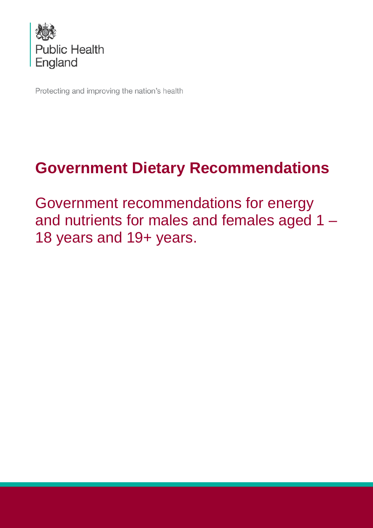

Protecting and improving the nation's health

# **Government Dietary Recommendations**

Government recommendations for energy and nutrients for males and females aged 1 – 18 years and 19+ years.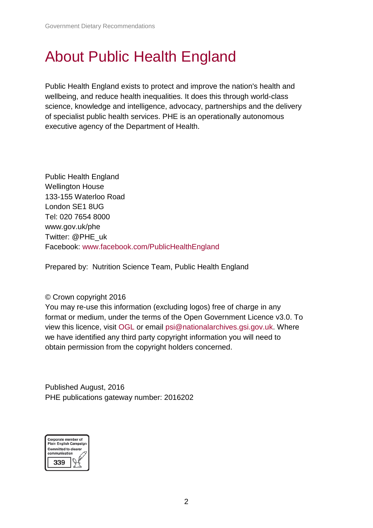### About Public Health England

Public Health England exists to protect and improve the nation's health and wellbeing, and reduce health inequalities. It does this through world-class science, knowledge and intelligence, advocacy, partnerships and the delivery of specialist public health services. PHE is an operationally autonomous executive agency of the Department of Health.

Public Health England Wellington House 133-155 Waterloo Road London SE1 8UG Tel: 020 7654 8000 [www.gov.uk/phe](http://www.gov.uk/phe) Twitter: [@PHE\\_uk](https://twitter.com/PHE_uk) Facebook: [www.facebook.com/PublicHealthEngland](http://www.facebook.com/PublicHealthEngland)

Prepared by: Nutrition Science Team, Public Health England

### © Crown copyright 2016

You may re-use this information (excluding logos) free of charge in any format or medium, under the terms of the Open Government Licence v3.0. To view this licence, visit [OGL](https://www.nationalarchives.gov.uk/doc/open-government-licence/version/3/) or email [psi@nationalarchives.gsi.gov.uk.](mailto:psi@nationalarchives.gsi.gov.uk) Where we have identified any third party copyright information you will need to obtain permission from the copyright holders concerned.

Published August, 2016 PHE publications gateway number: 2016202

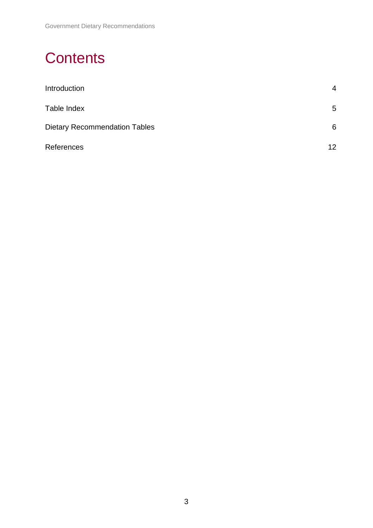## **Contents**

| Introduction                         | $\overline{4}$  |
|--------------------------------------|-----------------|
| Table Index                          | 5               |
| <b>Dietary Recommendation Tables</b> | 6               |
| References                           | 12 <sup>2</sup> |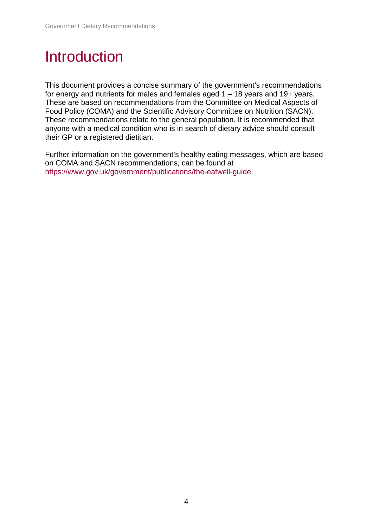### Introduction

This document provides a concise summary of the government's recommendations for energy and nutrients for males and females aged 1 – 18 years and 19+ years. These are based on recommendations from the Committee on Medical Aspects of Food Policy (COMA) and the Scientific Advisory Committee on Nutrition (SACN). These recommendations relate to the general population. It is recommended that anyone with a medical condition who is in search of dietary advice should consult their GP or a registered dietitian.

Further information on the government's healthy eating messages, which are based on COMA and SACN recommendations, can be found at [https://www.gov.uk/government/publications/the-eatwell-guide.](https://www.gov.uk/government/publications/the-eatwell-guide)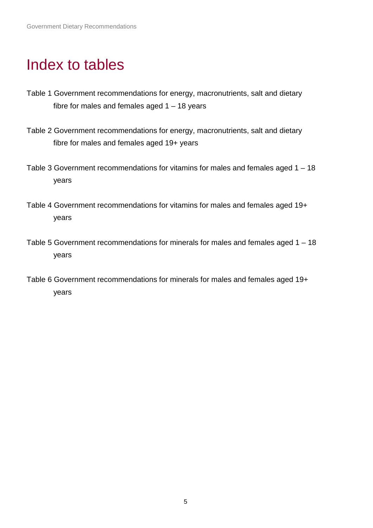### Index to tables

- Table 1 Government recommendations for energy, macronutrients, salt and dietary fibre for males and females aged  $1 - 18$  years
- Table 2 Government recommendations for energy, macronutrients, salt and dietary fibre for males and females aged 19+ years
- Table 3 Government recommendations for vitamins for males and females aged 1 18 years
- Table 4 Government recommendations for vitamins for males and females aged 19+ years
- Table 5 Government recommendations for minerals for males and females aged 1 18 years
- Table 6 Government recommendations for minerals for males and females aged 19+ years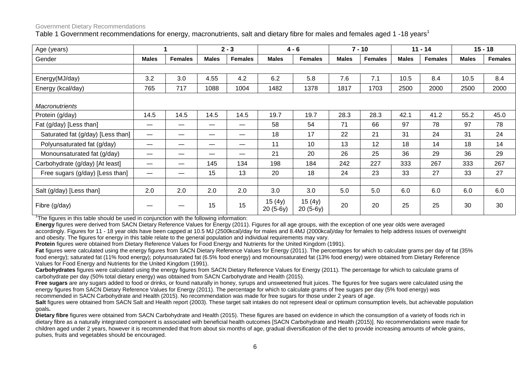#### Government Dietary Recommendations

Table 1 Government recommendations for energy, macronutrients, salt and dietary fibre for males and females aged 1-18 years<sup>1</sup>

| Age (years)                       |              |                |              | $2 - 3$                  |                      | $4 - 6$              |              | $7 - 10$       |              | $11 - 14$      |              | $15 - 18$      |
|-----------------------------------|--------------|----------------|--------------|--------------------------|----------------------|----------------------|--------------|----------------|--------------|----------------|--------------|----------------|
| Gender                            | <b>Males</b> | <b>Females</b> | <b>Males</b> | <b>Females</b>           | <b>Males</b>         | <b>Females</b>       | <b>Males</b> | <b>Females</b> | <b>Males</b> | <b>Females</b> | <b>Males</b> | <b>Females</b> |
|                                   |              |                |              |                          |                      |                      |              |                |              |                |              |                |
| Energy(MJ/day)                    | 3.2          | 3.0            | 4.55         | 4.2                      | 6.2                  | 5.8                  | 7.6          | 7.1            | 10.5         | 8.4            | 10.5         | 8.4            |
| Energy (kcal/day)                 | 765          | 717            | 1088         | 1004                     | 1482                 | 1378                 | 1817         | 1703           | 2500         | 2000           | 2500         | 2000           |
| <b>Macronutrients</b>             |              |                |              |                          |                      |                      |              |                |              |                |              |                |
| Protein (g/day)                   | 14.5         | 14.5           | 14.5         | 14.5                     | 19.7                 | 19.7                 | 28.3         | 28.3           | 42.1         | 41.2           | 55.2         | 45.0           |
| Fat (g/day) [Less than]           | —            | —              |              | $\overline{\phantom{m}}$ | 58                   | 54                   | 71           | 66             | 97           | 78             | 97           | 78             |
| Saturated fat (g/day) [Less than] |              | __             |              | —                        | 18                   | 17                   | 22           | 21             | 31           | 24             | 31           | 24             |
| Polyunsaturated fat (g/day)       |              |                |              | —                        | 11                   | 10                   | 13           | 12             | 18           | 14             | 18           | 14             |
| Monounsaturated fat (g/day)       |              | –              |              | —                        | 21                   | 20                   | 26           | 25             | 36           | 29             | 36           | 29             |
| Carbohydrate (g/day) [At least]   | —            | —              | 145          | 134                      | 198                  | 184                  | 242          | 227            | 333          | 267            | 333          | 267            |
| Free sugars (g/day) [Less than]   | —            | —              | 15           | 13                       | 20                   | 18                   | 24           | 23             | 33           | 27             | 33           | 27             |
|                                   |              |                |              |                          |                      |                      |              |                |              |                |              |                |
| Salt (g/day) [Less than]          | 2.0          | 2.0            | 2.0          | 2.0                      | 3.0                  | 3.0                  | 5.0          | 5.0            | 6.0          | 6.0            | 6.0          | 6.0            |
| Fibre (g/day)                     |              |                | 15           | 15                       | 15(4y)<br>$20(5-6y)$ | 15(4y)<br>$20(5-6y)$ | 20           | 20             | 25           | 25             | 30           | 30             |

<sup>1</sup>The figures in this table should be used in conjunction with the following information:

**Energy** figures were derived from SACN Dietary Reference Values for Energy (2011). Figures for all age groups, with the exception of one year olds were averaged accordingly. Figures for 11 - 18 year olds have been capped at 10.5 MJ (2500kcal)/day for males and 8.4MJ (2000kcal)/day for females to help address issues of overweight and obesity. The figures for energy in this table relate to the general population and individual requirements may vary.

**Protein** figures were obtained from Dietary Reference Values for Food Energy and Nutrients for the United Kingdom (1991).

**Fat** figures were calculated using the energy figures from SACN Dietary Reference Values for Energy (2011). The percentages for which to calculate grams per day of fat (35% food energy); saturated fat (11% food energy); polyunsaturated fat (6.5% food energy) and monounsaturated fat (13% food energy) were obtained from Dietary Reference Values for Food Energy and Nutrients for the United Kingdom (1991).

**Carbohydrates** figures were calculated using the energy figures from SACN Dietary Reference Values for Energy (2011). The percentage for which to calculate grams of carbohydrate per day (50% total dietary energy) was obtained from SACN Carbohydrate and Health (2015).

**Free sugars** are any sugars added to food or drinks, or found naturally in honey, syrups and unsweetened fruit juices. The figures for free sugars were calculated using the energy figures from SACN Dietary Reference Values for Energy (2011). The percentage for which to calculate grams of free sugars per day (5% food energy) was recommended in SACN Carbohydrate and Health (2015). No recommendation was made for free sugars for those under 2 years of age.

Salt figures were obtained from SACN Salt and Health report (2003). These target salt intakes do not represent ideal or optimum consumption levels, but achievable population goals**.** 

**Dietary fibre** figures were obtained from SACN Carbohydrate and Health (2015). These figures are based on evidence in which the consumption of a variety of foods rich in dietary fibre as a naturally integrated component is associated with beneficial health outcomes [SACN Carbohydrate and Health (2015)]. No recommendations were made for children aged under 2 years, however it is recommended that from about six months of age, gradual diversification of the diet to provide increasing amounts of whole grains, pulses, fruits and vegetables should be encouraged.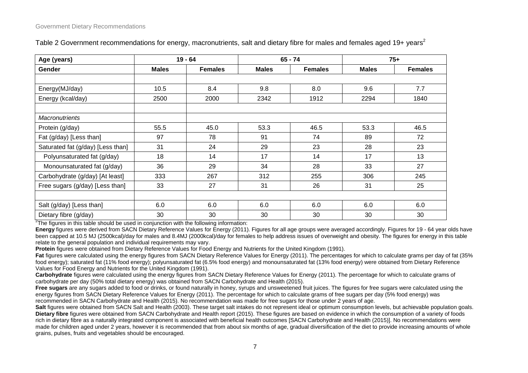| Age (years)                       |              | $19 - 64$      |              | $65 - 74$      | $75+$        |                |  |
|-----------------------------------|--------------|----------------|--------------|----------------|--------------|----------------|--|
| <b>Gender</b>                     | <b>Males</b> | <b>Females</b> | <b>Males</b> | <b>Females</b> | <b>Males</b> | <b>Females</b> |  |
|                                   |              |                |              |                |              |                |  |
| Energy(MJ/day)                    | 10.5         | 8.4            | 9.8          | 8.0            | 9.6          | 7.7            |  |
| Energy (kcal/day)                 | 2500         | 2000           | 2342         | 1912           | 2294         | 1840           |  |
|                                   |              |                |              |                |              |                |  |
| <b>Macronutrients</b>             |              |                |              |                |              |                |  |
| Protein (g/day)                   | 55.5         | 45.0           | 53.3         | 46.5           | 53.3         | 46.5           |  |
| Fat (g/day) [Less than]           | 97           | 78             | 91           | 74             | 89           | 72             |  |
| Saturated fat (g/day) [Less than] | 31           | 24             | 29           | 23             | 28           | 23             |  |
| Polyunsaturated fat (g/day)       | 18           | 14             | 17           | 14             | 17           | 13             |  |
| Monounsaturated fat (g/day)       | 36           | 29             | 34           | 28             | 33           | 27             |  |
| Carbohydrate (g/day) [At least]   | 333          | 267            | 312          | 255            | 306          | 245            |  |
| Free sugars (g/day) [Less than]   | 33           | 27             | 31           | 26             | 31           | 25             |  |
|                                   |              |                |              |                |              |                |  |
| Salt (g/day) [Less than]          | 6.0          | 6.0            | 6.0          | 6.0            | 6.0          | 6.0            |  |
| Dietary fibre (g/day)             | 30           | 30             | 30           | 30             | 30           | 30             |  |

Table 2 Government recommendations for energy, macronutrients, salt and dietary fibre for males and females aged 19+ years<sup>2</sup>

 $2$ The figures in this table should be used in conjunction with the following information:

**Energy** figures were derived from SACN Dietary Reference Values for Energy (2011). Figures for all age groups were averaged accordingly. Figures for 19 - 64 year olds have been capped at 10.5 MJ (2500kcal)/day for males and 8.4MJ (2000kcal)/day for females to help address issues of overweight and obesity. The figures for energy in this table relate to the general population and individual requirements may vary.

**Protein** figures were obtained from Dietary Reference Values for Food Energy and Nutrients for the United Kingdom (1991).

Fat figures were calculated using the energy figures from SACN Dietary Reference Values for Energy (2011). The percentages for which to calculate grams per day of fat (35%) food energy); saturated fat (11% food energy); polyunsaturated fat (6.5% food energy) and monounsaturated fat (13% food energy) were obtained from Dietary Reference Values for Food Energy and Nutrients for the United Kingdom (1991).

**Carbohydrate** figures were calculated using the energy figures from SACN Dietary Reference Values for Energy (2011). The percentage for which to calculate grams of carbohydrate per day (50% total dietary energy) was obtained from SACN Carbohydrate and Health (2015).

**Free sugars** are any sugars added to food or drinks, or found naturally in honey, syrups and unsweetened fruit juices. The figures for free sugars were calculated using the energy figures from SACN Dietary Reference Values for Energy (2011). The percentage for which to calculate grams of free sugars per day (5% food energy) was recommended in SACN Carbohydrate and Health (2015). No recommendation was made for free sugars for those under 2 years of age.

Salt figures were obtained from SACN Salt and Health (2003). These target salt intakes do not represent ideal or optimum consumption levels, but achievable population goals. **Dietary fibre** figures were obtained from SACN Carbohydrate and Health report (2015). These figures are based on evidence in which the consumption of a variety of foods rich in dietary fibre as a naturally integrated component is associated with beneficial health outcomes [SACN Carbohydrate and Health (2015)]. No recommendations were made for children aged under 2 years, however it is recommended that from about six months of age, gradual diversification of the diet to provide increasing amounts of whole grains, pulses, fruits and vegetables should be encouraged.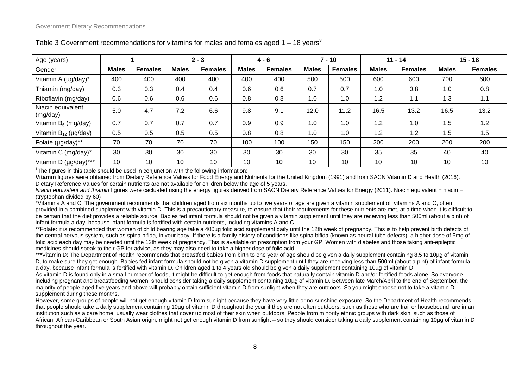| Age (years)                   |              |                | $2 - 3$      |                | $4 - 6$      |                | $7 - 10$     |                | $11 - 14$    |                | $15 - 18$    |                |
|-------------------------------|--------------|----------------|--------------|----------------|--------------|----------------|--------------|----------------|--------------|----------------|--------------|----------------|
| Gender                        | <b>Males</b> | <b>Females</b> | <b>Males</b> | <b>Females</b> | <b>Males</b> | <b>Females</b> | <b>Males</b> | <b>Females</b> | <b>Males</b> | <b>Females</b> | <b>Males</b> | <b>Females</b> |
| Vitamin A (µg/day)*           | 400          | 400            | 400          | 400            | 400          | 400            | 500          | 500            | 600          | 600            | 700          | 600            |
| Thiamin (mg/day)              | 0.3          | 0.3            | 0.4          | 0.4            | 0.6          | 0.6            | 0.7          | 0.7            | 1.0          | 0.8            | 1.0          | 0.8            |
| Riboflavin (mg/day)           | 0.6          | 0.6            | 0.6          | 0.6            | 0.8          | 0.8            | 1.0          | 1.0            | 1.2          | 1.1            | 1.3          | 1.1            |
| Niacin equivalent<br>(mg/day) | 5.0          | 4.7            | 7.2          | 6.6            | 9.8          | 9.1            | 12.0         | 11.2           | 16.5         | 13.2           | 16.5         | 13.2           |
| Vitamin $B_6$ (mg/day)        | 0.7          | 0.7            | 0.7          | 0.7            | 0.9          | 0.9            | 1.0          | 1.0            | 1.2          | 1.0            | 1.5          | 1.2            |
| Vitamin $B_{12}$ (µg/day)     | 0.5          | $0.5\,$        | 0.5          | 0.5            | 0.8          | 0.8            | 1.0          | 1.0            | 1.2          | 1.2            | 1.5          | 1.5            |
| Folate (µg/day)**             | 70           | 70             | 70           | 70             | 100          | 100            | 150          | 150            | 200          | 200            | 200          | 200            |
| Vitamin C (mg/day)*           | 30           | 30             | 30           | 30             | 30           | 30             | 30           | 30             | 35           | 35             | 40           | 40             |
| Vitamin D (µg/day)***         | 10           | 10             | 10           | 10             | 10           | 10             | 10           | 10             | 10           | 10             | 10           | 10             |

#### Table 3 Government recommendations for vitamins for males and females aged  $1 - 18$  years<sup>3</sup>

<sup>3</sup>The figures in this table should be used in conjunction with the following information:

**Vitamin** figures were obtained from Dietary Reference Values for Food Energy and Nutrients for the United Kingdom (1991) and from SACN Vitamin D and Health (2016). Dietary Reference Values for certain nutrients are not available for children below the age of 5 years.

*Niacin equivalent and thiamin* figures were cacluated using the energy figures derived from SACN Dietary Reference Values for Energy (2011). Niacin equivalent = niacin + (tryptophan divided by 60)

\*Vitamins A and C: The government recommends that children aged from six months up to five years of age are given a vitamin supplement of vitamins A and C, often provided in a combined supplement with vitamin D. This is a precautionary measure, to ensure that their requirements for these nutrients are met, at a time when it is difficult to be certain that the diet provides a reliable source. Babies fed infant formula should not be given a vitamin supplement until they are receiving less than 500ml (about a pint) of infant formula a day, because infant formula is fortified with certain nutrients, including vitamins A and C.

\*\*Folate: it is recommended that women of child bearing age take a 400µg folic acid supplement daily until the 12th week of pregnancy. This is to help prevent birth defects of the central nervous system, such as spina bifida, in your baby. If there is a family history of conditions like spina bifida (known as neural tube defects), a higher dose of 5mg of folic acid each day may be needed until the 12th week of pregnancy. This is available on prescription from your GP. Women with diabetes and those taking anti-epileptic medicines should speak to their GP for advice, as they may also need to take a higher dose of folic acid.

\*\*\*Vitamin D: The Department of Health recommends that breastfed babies from birth to one year of age should be given a daily supplement containing 8.5 to 10µg of vitamin D, to make sure they get enough. Babies fed infant formula should not be given a vitamin D supplement until they are receiving less than 500ml (about a pint) of infant formula a day, because infant formula is fortified with vitamin D. Children aged 1 to 4 years old should be given a daily supplement containing 10µg of vitamin D.

As vitamin D is found only in a small number of foods, it might be difficult to get enough from foods that naturally contain vitamin D and/or fortified foods alone. So everyone, including pregnant and breastfeeding women, should consider taking a daily supplement containing 10µg of vitamin D. Between late March/April to the end of September, the majority of people aged five years and above will probably obtain sufficient vitamin D from sunlight when they are outdoors. So you might choose not to take a vitamin D supplement during these months.

However, some groups of people will not get enough vitamin D from sunlight because they have very little or no sunshine exposure. So the Department of Health recommends that people should take a daily supplement containing 10µg of vitamin D throughout the year if they are not often outdoors, such as those who are frail or housebound; are in an institution such as a care home; usually wear clothes that cover up most of their skin when outdoors. People from minority ethnic groups with dark skin, such as those of African, African-Caribbean or South Asian origin, might not get enough vitamin D from sunlight – so they should consider taking a daily supplement containing 10µg of vitamin D throughout the year.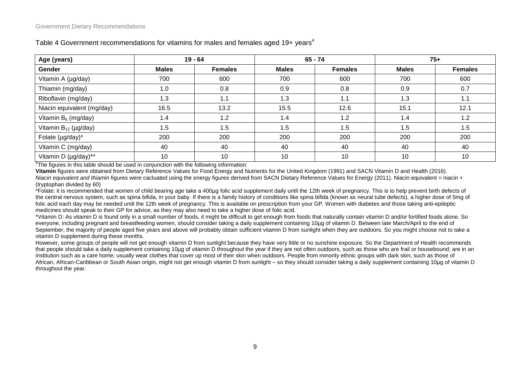| Age (years)                | $19 - 64$    |                |              | $65 - 74$      | $75+$        |                |  |
|----------------------------|--------------|----------------|--------------|----------------|--------------|----------------|--|
| Gender                     | <b>Males</b> | <b>Females</b> | <b>Males</b> | <b>Females</b> | <b>Males</b> | <b>Females</b> |  |
| Vitamin A (µg/day)         | 700          | 600            | 700          | 600            | 700          | 600            |  |
| Thiamin (mg/day)           | 1.0          | 0.8            | 0.9          | 0.8            | 0.9          | 0.7            |  |
| Riboflavin (mg/day)        | 1.3          | 1.1            | 1.3          | 1.1            | 1.3          | 1.1            |  |
| Niacin equivalent (mg/day) | 16.5         | 13.2           | 15.5         | 12.6           | 15.1         | 12.1           |  |
| Vitamin $B_6$ (mg/day)     | 1.4          | 1.2            | 1.4          | 1.2            | 1.4          | 1.2            |  |
| Vitamin $B_{12}$ (µg/day)  | 1.5          | 1.5            | 1.5          | 1.5            | 1.5          | 1.5            |  |
| Folate (µg/day)*           | 200          | 200            | 200          | 200            | 200          | 200            |  |
| Vitamin C (mg/day)         | 40           | 40             | 40           | 40             | 40           | 40             |  |
| Vitamin D (µg/day)**       | 10           | 10             | 10           | 10             | 10           | 10             |  |

#### Table 4 Government recommendations for vitamins for males and females aged 19+ years<sup>4</sup>

<sup>4</sup>The figures in this table should be used in conjunction with the following information:

**Vitamin** figures were obtained from Dietary Reference Values for Food Energy and Nutrients for the United Kingdom (1991) and SACN Vitamin D and Health (2016). *Niacin equivalent and thiamin* figures were cacluated using the energy figures derived from SACN Dietary Reference Values for Energy (2011). Niacin equivalent = niacin + (tryptophan divided by 60)

\*Folate: it is recommended that women of child bearing age take a 400µg folic acid supplement daily until the 12th week of pregnancy. This is to help prevent birth defects of the central nervous system, such as spina bifida, in your baby. If there is a family history of conditions like spina bifida (known as neural tube defects), a higher dose of 5mg of folic acid each day may be needed until the 12th week of pregnancy. This is available on prescription from your GP. Women with diabetes and those taking anti-epileptic medicines should speak to their GP for advice, as they may also need to take a higher dose of folic acid.

\*Vitamin D: As vitamin D is found only in a small number of foods, it might be difficult to get enough from foods that naturally contain vitamin D and/or fortified foods alone. So everyone, including pregnant and breastfeeding women, should consider taking a daily supplement containing 10µg of vitamin D. Between late March/April to the end of September, the majority of people aged five years and above will probably obtain sufficient vitamin D from sunlight when they are outdoors. So you might choose not to take a vitamin D supplement during these months.

However, some groups of people will not get enough vitamin D from sunlight because they have very little or no sunshine exposure. So the Department of Health recommends that people should take a daily supplement containing 10µg of vitamin D throughout the year if they are not often outdoors, such as those who are frail or housebound; are in an institution such as a care home; usually wear clothes that cover up most of their skin when outdoors. People from minority ethnic groups with dark skin, such as those of African, African-Caribbean or South Asian origin, might not get enough vitamin D from sunlight – so they should consider taking a daily supplement containing 10µg of vitamin D throughout the year.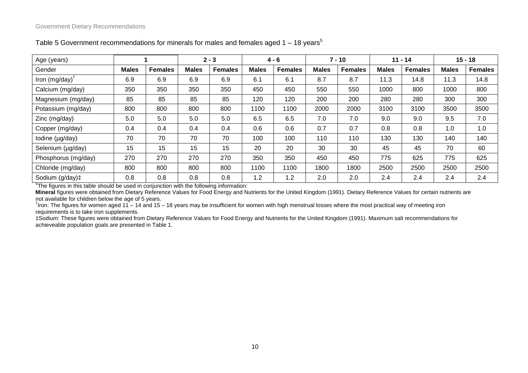| Age (years)               |              |                |              | $2 - 3$        |              | $4 - 6$        |              | $7 - 10$       |              | $11 - 14$      |              | $15 - 18$      |
|---------------------------|--------------|----------------|--------------|----------------|--------------|----------------|--------------|----------------|--------------|----------------|--------------|----------------|
| Gender                    | <b>Males</b> | <b>Females</b> | <b>Males</b> | <b>Females</b> | <b>Males</b> | <b>Females</b> | <b>Males</b> | <b>Females</b> | <b>Males</b> | <b>Females</b> | <b>Males</b> | <b>Females</b> |
| Iron $(mg/day)^{\dagger}$ | 6.9          | 6.9            | 6.9          | 6.9            | 6.1          | 6.1            | 8.7          | 8.7            | 11.3         | 14.8           | 11.3         | 14.8           |
| Calcium (mg/day)          | 350          | 350            | 350          | 350            | 450          | 450            | 550          | 550            | 1000         | 800            | 1000         | 800            |
| Magnesium (mg/day)        | 85           | 85             | 85           | 85             | 120          | 120            | 200          | 200            | 280          | 280            | 300          | 300            |
| Potassium (mg/day)        | 800          | 800            | 800          | 800            | 1100         | 1100           | 2000         | 2000           | 3100         | 3100           | 3500         | 3500           |
| Zinc (mg/day)             | 5.0          | 5.0            | 5.0          | 5.0            | 6.5          | 6.5            | 7.0          | 7.0            | 9.0          | 9.0            | 9.5          | 7.0            |
| Copper (mg/day)           | 0.4          | 0.4            | 0.4          | 0.4            | 0.6          | 0.6            | 0.7          | 0.7            | 0.8          | 0.8            | 1.0          | 1.0            |
| lodine (µg/day)           | 70           | 70             | 70           | 70             | 100          | 100            | 110          | 110            | 130          | 130            | 140          | 140            |
| Selenium (µg/day)         | 15           | 15             | 15           | 15             | 20           | 20             | 30           | 30             | 45           | 45             | 70           | 60             |
| Phosphorus (mg/day)       | 270          | 270            | 270          | 270            | 350          | 350            | 450          | 450            | 775          | 625            | 775          | 625            |
| Chloride (mg/day)         | 800          | 800            | 800          | 800            | 1100         | 1100           | 1800         | 1800           | 2500         | 2500           | 2500         | 2500           |
| Sodium (g/day)‡           | 0.8          | 0.8            | 0.8          | 0.8            | 1.2          | 1.2            | 2.0          | 2.0            | 2.4          | 2.4            | 2.4          | 2.4            |

Table 5 Government recommendations for minerals for males and females aged  $1 - 18$  years<sup>5</sup>

<sup>5</sup>The figures in this table should be used in conjunction with the following information:

**Mineral** figures were obtained from Dietary Reference Values for Food Energy and Nutrients for the United Kingdom (1991). Dietary Reference Values for certain nutrients are not available for children below the age of 5 years. †

 $<sup>†</sup>$ Iron: The figures for women aged 11 – 14 and 15 – 18 years may be insufficient for women with high menstrual losses where the most practical way of meeting iron</sup> requirements is to take iron supplements.

‡Sodium: These figures were obtained from Dietary Reference Values for Food Energy and Nutrients for the United Kingdom (1991). Maximum salt recommendations for achieveable population goals are presented in Table 1.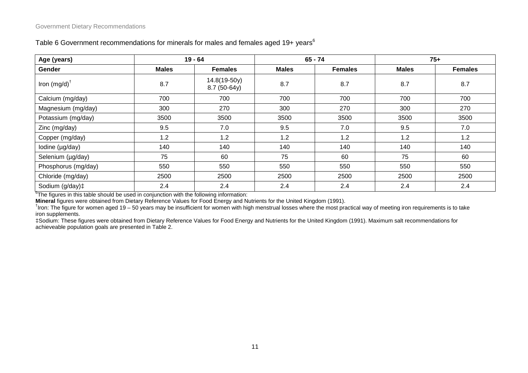| Age (years)                | $19 - 64$    |                              |              | $65 - 74$      | $75+$        |                |  |
|----------------------------|--------------|------------------------------|--------------|----------------|--------------|----------------|--|
| Gender                     | <b>Males</b> | <b>Females</b>               | <b>Males</b> | <b>Females</b> | <b>Males</b> | <b>Females</b> |  |
| Iron $(mg/d)$ <sup>†</sup> | 8.7          | 14.8(19-50y)<br>8.7 (50-64y) | 8.7          | 8.7            | 8.7          | 8.7            |  |
| Calcium (mg/day)           | 700          | 700                          | 700          | 700            | 700          | 700            |  |
| Magnesium (mg/day)         | 300          | 270                          | 300          | 270            | 300          | 270            |  |
| Potassium (mg/day)         | 3500         | 3500                         | 3500         | 3500           | 3500         | 3500           |  |
| Zinc (mg/day)              | 9.5          | 7.0                          | 9.5          | 7.0            | 9.5          | 7.0            |  |
| Copper (mg/day)            | 1.2          | 1.2                          | 1.2          | 1.2            | 1.2          | 1.2            |  |
| lodine (µg/day)            | 140          | 140                          | 140          | 140            | 140          | 140            |  |
| Selenium (µg/day)          | 75           | 60                           | 75           | 60             | 75           | 60             |  |
| Phosphorus (mg/day)        | 550          | 550                          | 550          | 550            | 550          | 550            |  |
| Chloride (mg/day)          | 2500         | 2500                         | 2500         | 2500           | 2500         | 2500           |  |
| Sodium (g/day)‡            | 2.4          | 2.4                          | 2.4          | 2.4            | 2.4          | 2.4            |  |

#### Table 6 Government recommendations for minerals for males and females aged 19+ years<sup>6</sup>

<sup>6</sup>The figures in this table should be used in conjunction with the following information:

**Mineral** figures were obtained from Dietary Reference Values for Food Energy and Nutrients for the United Kingdom (1991). †

 $<sup>†</sup>$  Iron: The figure for women aged 19 – 50 years may be insufficient for women with high menstrual losses where the most practical way of meeting iron requirements is to take</sup> iron supplements.

‡Sodium: These figures were obtained from Dietary Reference Values for Food Energy and Nutrients for the United Kingdom (1991). Maximum salt recommendations for achieveable population goals are presented in Table 2.